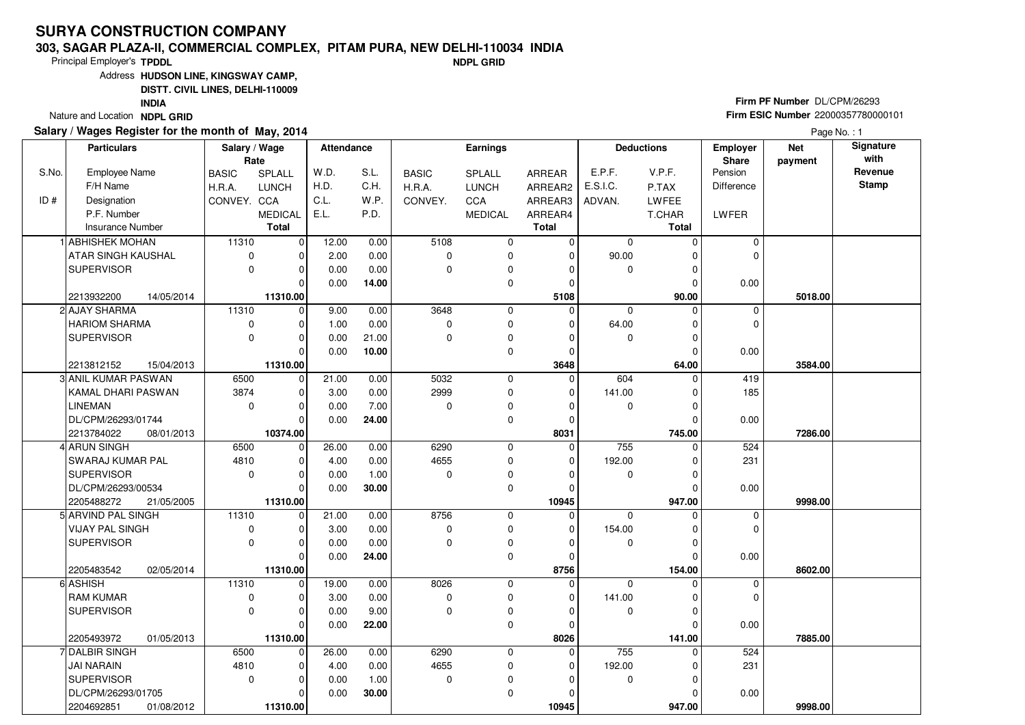### **303, SAGAR PLAZA-II, COMMERCIAL COMPLEX, PITAM PURA, NEW DELHI-110034 INDIANDPL GRID**

Principal Employer's**TPDDL**

Address**HUDSON LINE, KINGSWAY CAMP,**

**DISTT. CIVIL LINES, DELHI-110009**

**INDIA**

Nature and Location **NDPL GRID** 

### **Salary / Wages Register for the month of May, 2014**

**Firm PF Number** DL/CPM/26293 **Firm ESIC Number** <sup>22000357780000101</sup>

|       | <b>Particulars</b>      |            | Salary / Wage |                | <b>Attendance</b> |       |                | <b>Earnings</b> |               |             | <b>Deductions</b> | <b>Employer</b> | <b>Net</b> | <b>Signature</b> |
|-------|-------------------------|------------|---------------|----------------|-------------------|-------|----------------|-----------------|---------------|-------------|-------------------|-----------------|------------|------------------|
|       |                         |            | Rate          |                |                   |       |                |                 |               |             |                   | <b>Share</b>    | payment    | with             |
| S.No. | Employee Name           |            | <b>BASIC</b>  | <b>SPLALL</b>  | W.D.              | S.L.  | <b>BASIC</b>   | <b>SPLALL</b>   | <b>ARREAR</b> | E.P.F.      | V.P.F.            | Pension         |            | Revenue          |
|       | F/H Name                |            | H.R.A.        | <b>LUNCH</b>   | H.D.              | C.H.  | H.R.A.         | <b>LUNCH</b>    | ARREAR2       | E.S.I.C.    | P.TAX             | Difference      |            | <b>Stamp</b>     |
| ID#   | Designation             |            | CONVEY. CCA   |                | C.L.              | W.P.  | CONVEY.        | <b>CCA</b>      | ARREAR3       | ADVAN.      | <b>LWFEE</b>      |                 |            |                  |
|       | P.F. Number             |            |               | <b>MEDICAL</b> | E.L.              | P.D.  |                | <b>MEDICAL</b>  | ARREAR4       |             | T.CHAR            | LWFER           |            |                  |
|       | <b>Insurance Number</b> |            |               | <b>Total</b>   |                   |       |                |                 | <b>Total</b>  |             | <b>Total</b>      |                 |            |                  |
|       | 1 ABHISHEK MOHAN        |            | 11310         | $\overline{0}$ | 12.00             | 0.00  | 5108           | 0               | 0             | $\mathbf 0$ | $\Omega$          | $\mathbf 0$     |            |                  |
|       | ATAR SINGH KAUSHAL      |            | $\mathbf 0$   | 0              | 2.00              | 0.00  | 0              | $\mathbf 0$     | $\mathbf 0$   | 90.00       | O                 | 0               |            |                  |
|       | <b>SUPERVISOR</b>       |            | $\Omega$      | $\Omega$       | 0.00              | 0.00  | 0              | $\mathbf 0$     | $\Omega$      | $\mathbf 0$ | $\Omega$          |                 |            |                  |
|       |                         |            |               | $\Omega$       | 0.00              | 14.00 |                | $\mathbf 0$     | $\Omega$      |             | $\Omega$          | 0.00            |            |                  |
|       | 2213932200              | 14/05/2014 |               | 11310.00       |                   |       |                |                 | 5108          |             | 90.00             |                 | 5018.00    |                  |
|       | 2 AJAY SHARMA           |            | 11310         | $\mathbf 0$    | 9.00              | 0.00  | 3648           | 0               | $\Omega$      | $\mathbf 0$ | $\Omega$          | $\mathbf 0$     |            |                  |
|       | <b>HARIOM SHARMA</b>    |            | 0             | $\mathbf 0$    | 1.00              | 0.00  | 0              | 0               | $\Omega$      | 64.00       | $\Omega$          | 0               |            |                  |
|       | <b>SUPERVISOR</b>       |            | $\mathbf 0$   | $\Omega$       | 0.00              | 21.00 | $\overline{0}$ | $\mathbf 0$     | $\Omega$      | $\mathbf 0$ | $\Omega$          |                 |            |                  |
|       |                         |            |               | $\Omega$       | 0.00              | 10.00 |                | $\mathbf 0$     | $\Omega$      |             | $\Omega$          | 0.00            |            |                  |
|       | 2213812152              | 15/04/2013 |               | 11310.00       |                   |       |                |                 | 3648          |             | 64.00             |                 | 3584.00    |                  |
|       | 3 ANIL KUMAR PASWAN     |            | 6500          | $\mathbf 0$    | 21.00             | 0.00  | 5032           | $\mathbf 0$     | $\mathbf 0$   | 604         | $\Omega$          | 419             |            |                  |
|       | KAMAL DHARI PASWAN      |            | 3874          | 0              | 3.00              | 0.00  | 2999           | 0               | $\Omega$      | 141.00      |                   | 185             |            |                  |
|       | <b>LINEMAN</b>          |            | $\mathbf 0$   | $\mathbf 0$    | 0.00              | 7.00  | 0              | $\pmb{0}$       | 0             | $\mathbf 0$ | $\Omega$          |                 |            |                  |
|       | DL/CPM/26293/01744      |            |               | $\Omega$       | 0.00              | 24.00 |                | $\mathbf 0$     | $\Omega$      |             | $\Omega$          | 0.00            |            |                  |
|       | 2213784022              | 08/01/2013 |               | 10374.00       |                   |       |                |                 | 8031          |             | 745.00            |                 | 7286.00    |                  |
|       | 4 ARUN SINGH            |            | 6500          | $\mathbf 0$    | 26.00             | 0.00  | 6290           | 0               | $\mathbf 0$   | 755         | $\Omega$          | 524             |            |                  |
|       | SWARAJ KUMAR PAL        |            | 4810          | $\Omega$       | 4.00              | 0.00  | 4655           | $\mathbf 0$     | $\Omega$      | 192.00      | $\Omega$          | 231             |            |                  |
|       | <b>SUPERVISOR</b>       |            | $\mathbf 0$   | $\Omega$       | 0.00              | 1.00  | $\Omega$       | $\mathbf 0$     | $\Omega$      | $\mathbf 0$ |                   |                 |            |                  |
|       | DL/CPM/26293/00534      |            |               | 0              | 0.00              | 30.00 |                | $\mathbf 0$     | $\Omega$      |             | $\Omega$          | 0.00            |            |                  |
|       | 2205488272              | 21/05/2005 |               | 11310.00       |                   |       |                |                 | 10945         |             | 947.00            |                 | 9998.00    |                  |
|       | 5 ARVIND PAL SINGH      |            | 11310         | $\Omega$       | 21.00             | 0.00  | 8756           | $\mathbf 0$     | $\Omega$      | $\Omega$    |                   | $\mathbf 0$     |            |                  |
|       | <b>VIJAY PAL SINGH</b>  |            | $\mathsf 0$   | $\Omega$       | 3.00              | 0.00  | 0              | $\mathbf 0$     | $\mathbf 0$   | 154.00      | $\Omega$          | 0               |            |                  |
|       | <b>SUPERVISOR</b>       |            | $\mathbf 0$   | $\mathbf 0$    | 0.00              | 0.00  | 0              | $\mathbf 0$     | $\Omega$      | $\mathbf 0$ | $\Omega$          |                 |            |                  |
|       |                         |            |               | $\Omega$       | 0.00              | 24.00 |                | $\mathbf 0$     | $\Omega$      |             | $\Omega$          | 0.00            |            |                  |
|       | 2205483542              | 02/05/2014 |               | 11310.00       |                   |       |                |                 | 8756          |             | 154.00            |                 | 8602.00    |                  |
|       | 6 ASHISH                |            | 11310         | $\mathbf 0$    | 19.00             | 0.00  | 8026           | $\mathbf 0$     | $\Omega$      | $\Omega$    | U                 | 0               |            |                  |
|       | <b>RAM KUMAR</b>        |            | $\mathbf 0$   | $\Omega$       | 3.00              | 0.00  | 0              | $\mathbf 0$     | $\Omega$      | 141.00      | $\Omega$          | $\Omega$        |            |                  |
|       | <b>SUPERVISOR</b>       |            | $\mathbf 0$   | $\mathbf 0$    | 0.00              | 9.00  | 0              | $\pmb{0}$       | $\Omega$      | 0           | $\Omega$          |                 |            |                  |
|       |                         |            |               | $\Omega$       | 0.00              | 22.00 |                | $\mathbf 0$     | $\Omega$      |             | $\Omega$          | 0.00            |            |                  |
|       | 2205493972              | 01/05/2013 |               | 11310.00       |                   |       |                |                 | 8026          |             | 141.00            |                 | 7885.00    |                  |
|       | 7 DALBIR SINGH          |            | 6500          | $\mathbf 0$    | 26.00             | 0.00  | 6290           | 0               | $\mathbf 0$   | 755         | O                 | 524             |            |                  |
|       | <b>JAI NARAIN</b>       |            | 4810          | $\Omega$       | 4.00              | 0.00  | 4655           | $\mathbf 0$     | $\Omega$      | 192.00      |                   | 231             |            |                  |
|       | <b>SUPERVISOR</b>       |            | $\mathbf 0$   | 0              | 0.00              | 1.00  | $\mathbf 0$    | $\mathbf 0$     | $\Omega$      | 0           | $\Omega$          |                 |            |                  |
|       | DL/CPM/26293/01705      |            |               | $\Omega$       | 0.00              | 30.00 |                | $\mathbf 0$     | $\Omega$      |             | 0                 | 0.00            |            |                  |
|       | 2204692851              | 01/08/2012 |               | 11310.00       |                   |       |                |                 | 10945         |             | 947.00            |                 | 9998.00    |                  |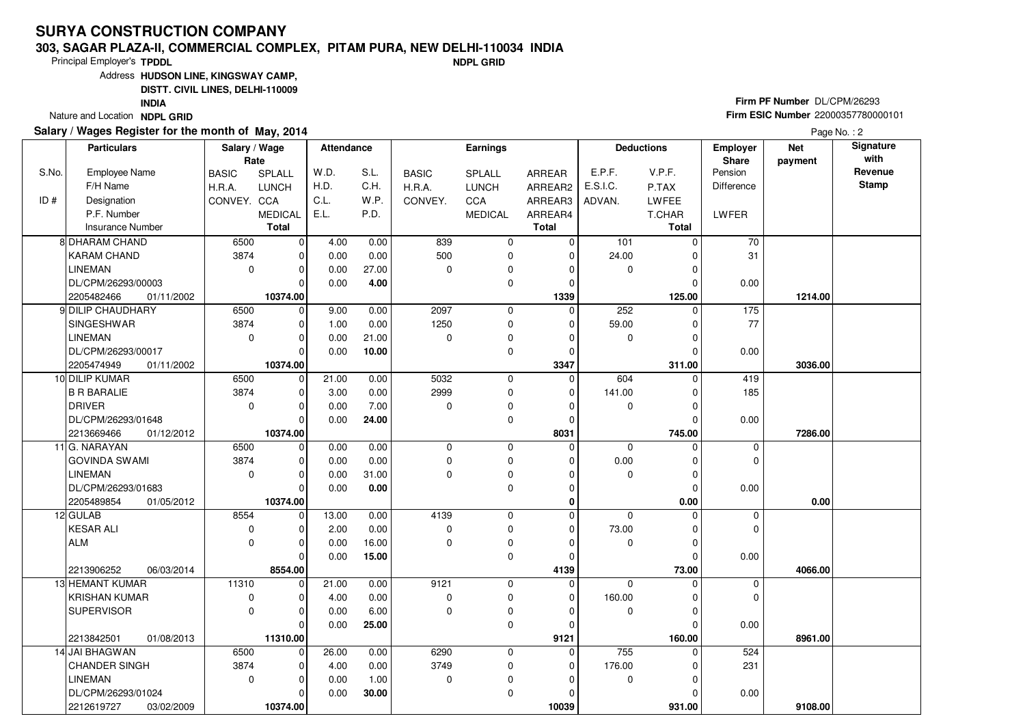### **303, SAGAR PLAZA-II, COMMERCIAL COMPLEX, PITAM PURA, NEW DELHI-110034 INDIANDPL GRID**

Principal Employer's**TPDDL**

Address**HUDSON LINE, KINGSWAY CAMP,**

**DISTT. CIVIL LINES, DELHI-110009**

**INDIA**

Nature and Location **NDPL GRID** 

## **Salary / Wages Register for the month of May, 2014**

**Firm PF Number** DL/CPM/26293 **Firm ESIC Number** <sup>22000357780000101</sup>

|       | <b>Particulars</b>       | Salary / Wage<br>Rate |                | <b>Attendance</b> |       |              | <b>Earnings</b> |              |                | <b>Deductions</b> | Employer<br>Share | <b>Net</b><br>payment | Signature<br>with |
|-------|--------------------------|-----------------------|----------------|-------------------|-------|--------------|-----------------|--------------|----------------|-------------------|-------------------|-----------------------|-------------------|
| S.No. | Employee Name            | <b>BASIC</b>          | <b>SPLALL</b>  | W.D.              | S.L.  | <b>BASIC</b> | <b>SPLALL</b>   | ARREAR       | E.P.F.         | V.P.F.            | Pension           |                       | Revenue           |
|       | F/H Name                 | H.R.A.                | <b>LUNCH</b>   | H.D.              | C.H.  | H.R.A.       | <b>LUNCH</b>    | ARREAR2      | E.S.I.C.       | P.TAX             | <b>Difference</b> |                       | <b>Stamp</b>      |
| ID#   | Designation              | CONVEY. CCA           |                | C.L.              | W.P.  | CONVEY.      | CCA             | ARREAR3      | ADVAN.         | LWFEE             |                   |                       |                   |
|       | P.F. Number              |                       | <b>MEDICAL</b> | E.L.              | P.D.  |              | <b>MEDICAL</b>  | ARREAR4      |                | T.CHAR            | LWFER             |                       |                   |
|       | <b>Insurance Number</b>  |                       | <b>Total</b>   |                   |       |              |                 | <b>Total</b> |                | <b>Total</b>      |                   |                       |                   |
|       | <b>8 DHARAM CHAND</b>    | 6500                  | 0              | 4.00              | 0.00  | 839          | 0               | $\mathbf 0$  | 101            | $\Omega$          | 70                |                       |                   |
|       | <b>KARAM CHAND</b>       | 3874                  | 0              | 0.00              | 0.00  | 500          | 0               | $\mathbf 0$  | 24.00          |                   | 31                |                       |                   |
|       | <b>LINEMAN</b>           | 0                     | $\Omega$       | 0.00              | 27.00 | $\Omega$     | 0               | $\Omega$     | 0              | $\Omega$          |                   |                       |                   |
|       | DL/CPM/26293/00003       |                       | $\Omega$       | 0.00              | 4.00  |              | $\mathbf 0$     | $\mathbf 0$  |                | $\Omega$          | 0.00              |                       |                   |
|       | 2205482466<br>01/11/2002 |                       | 10374.00       |                   |       |              |                 | 1339         |                | 125.00            |                   | 1214.00               |                   |
|       | 9 DILIP CHAUDHARY        | 6500                  | $\mathbf 0$    | 9.00              | 0.00  | 2097         | 0               | $\mathbf 0$  | 252            | $\Omega$          | $\frac{175}{2}$   |                       |                   |
|       | SINGESHWAR               | 3874                  | $\Omega$       | 1.00              | 0.00  | 1250         | 0               | $\Omega$     | 59.00          | $\Omega$          | 77                |                       |                   |
|       | <b>LINEMAN</b>           | $\mathbf 0$           | $\Omega$       | 0.00              | 21.00 | $\Omega$     | 0               | $\Omega$     | 0              | $\Omega$          |                   |                       |                   |
|       | DL/CPM/26293/00017       |                       | 0              | 0.00              | 10.00 |              | $\mathbf 0$     | $\mathbf 0$  |                | $\Omega$          | 0.00              |                       |                   |
|       | 2205474949<br>01/11/2002 |                       | 10374.00       |                   |       |              |                 | 3347         |                | 311.00            |                   | 3036.00               |                   |
|       | 10 DILIP KUMAR           | 6500                  | $\Omega$       | 21.00             | 0.00  | 5032         | $\mathbf 0$     | $\mathbf 0$  | 604            | O                 | 419               |                       |                   |
|       | <b>B R BARALIE</b>       | 3874                  |                | 3.00              | 0.00  | 2999         | 0               | $\Omega$     | 141.00         | 0                 | 185               |                       |                   |
|       | <b>DRIVER</b>            | 0                     | $\Omega$       | 0.00              | 7.00  | $\mathbf 0$  | 0               | $\Omega$     | 0              | $\Omega$          |                   |                       |                   |
|       | DL/CPM/26293/01648       |                       | $\Omega$       | 0.00              | 24.00 |              | 0               | 0            |                | $\Omega$          | 0.00              |                       |                   |
|       | 2213669466<br>01/12/2012 |                       | 10374.00       |                   |       |              |                 | 8031         |                | 745.00            |                   | 7286.00               |                   |
|       | 11 G. NARAYAN            | 6500                  | $\Omega$       | 0.00              | 0.00  | $\Omega$     | $\mathbf 0$     | $\Omega$     | $\Omega$       | $\Omega$          | $\mathbf 0$       |                       |                   |
|       | <b>GOVINDA SWAMI</b>     | 3874                  | $\Omega$       | 0.00              | 0.00  | $\mathbf 0$  | 0               | $\Omega$     | 0.00           | $\Omega$          | 0                 |                       |                   |
|       | <b>LINEMAN</b>           | 0                     | 0              | 0.00              | 31.00 | $\Omega$     | $\mathbf 0$     | $\Omega$     | 0              | $\Omega$          |                   |                       |                   |
|       | DL/CPM/26293/01683       |                       | $\Omega$       | 0.00              | 0.00  |              | $\mathbf 0$     | $\Omega$     |                | $\Omega$          | 0.00              |                       |                   |
|       | 2205489854<br>01/05/2012 |                       | 10374.00       |                   |       |              |                 | 0            |                | 0.00              |                   | 0.00                  |                   |
|       | 12 GULAB                 | 8554                  | $\Omega$       | 13.00             | 0.00  | 4139         | $\mathbf 0$     | $\Omega$     | $\overline{0}$ | O                 | 0                 |                       |                   |
|       | <b>KESAR ALI</b>         | 0                     | U              | 2.00              | 0.00  | $\mathbf 0$  | 0               | $\Omega$     | 73.00          | $\Omega$          | $\Omega$          |                       |                   |
|       | <b>ALM</b>               | 0                     | $\Omega$       | 0.00              | 16.00 | $\Omega$     | 0               | $\mathbf 0$  | 0              | $\Omega$          |                   |                       |                   |
|       |                          |                       | $\Omega$       | 0.00              | 15.00 |              | $\mathbf 0$     | $\mathbf 0$  |                | $\Omega$          | 0.00              |                       |                   |
|       | 2213906252<br>06/03/2014 |                       | 8554.00        |                   |       |              |                 | 4139         |                | 73.00             |                   | 4066.00               |                   |
|       | 13 HEMANT KUMAR          | 11310                 | $\Omega$       | 21.00             | 0.00  | 9121         | 0               | 0            | 0              | O                 | 0                 |                       |                   |
|       | <b>KRISHAN KUMAR</b>     | 0                     | $\Omega$       | 4.00              | 0.00  | $\mathbf 0$  | 0               | $\Omega$     | 160.00         | $\Omega$          | $\mathbf 0$       |                       |                   |
|       | <b>SUPERVISOR</b>        | 0                     | $\Omega$       | 0.00              | 6.00  | 0            | 0               | $\Omega$     | 0              | $\Omega$          |                   |                       |                   |
|       |                          |                       | $\Omega$       | 0.00              | 25.00 |              | 0               | $\Omega$     |                | $\Omega$          | 0.00              |                       |                   |
|       | 2213842501<br>01/08/2013 |                       | 11310.00       |                   |       |              |                 | 9121         |                | 160.00            |                   | 8961.00               |                   |
|       | 14 JAI BHAGWAN           | 6500                  | $\Omega$       | 26.00             | 0.00  | 6290         | 0               | 0            | 755            | U                 | 524               |                       |                   |
|       | <b>CHANDER SINGH</b>     | 3874                  | $\Omega$       | 4.00              | 0.00  | 3749         | 0               | $\mathbf 0$  | 176.00         | 0                 | 231               |                       |                   |
|       | <b>LINEMAN</b>           | $\mathbf 0$           | $\Omega$       | 0.00              | 1.00  | 0            | 0               | $\Omega$     | 0              | $\Omega$          |                   |                       |                   |
|       | DL/CPM/26293/01024       |                       | 0              | 0.00              | 30.00 |              | 0               | 0            |                | $\Omega$          | 0.00              |                       |                   |
|       | 2212619727<br>03/02/2009 |                       | 10374.00       |                   |       |              |                 | 10039        |                | 931.00            |                   | 9108.00               |                   |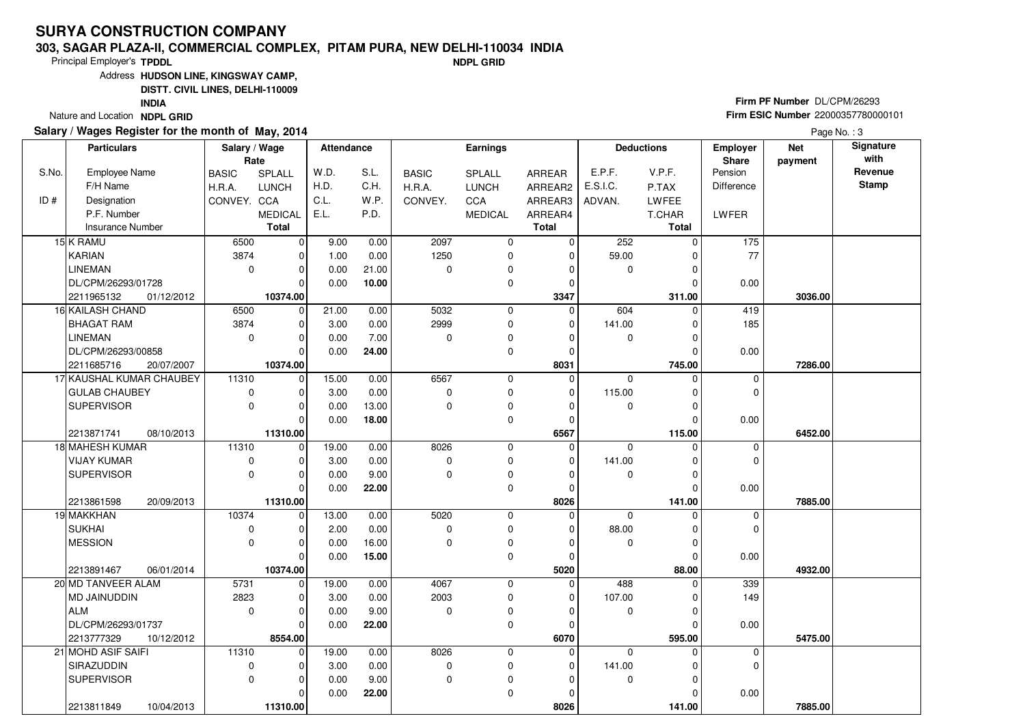### **303, SAGAR PLAZA-II, COMMERCIAL COMPLEX, PITAM PURA, NEW DELHI-110034 INDIANDPL GRID**

Principal Employer's**TPDDL**

Address**HUDSON LINE, KINGSWAY CAMP,**

**DISTT. CIVIL LINES, DELHI-110009**

**INDIA**

Nature and Location **NDPL GRID** 

## **Salary / Wages Register for the month of May, 2014**

**Firm PF Number** DL/CPM/26293 **Firm ESIC Number** <sup>22000357780000101</sup>

|       | <b>Particulars</b>       | Salary / Wage<br>Rate |                | Attendance |       |              | <b>Earnings</b> |              |             | <b>Deductions</b> | <b>Employer</b><br>Share | <b>Net</b><br>payment | Signature<br>with |
|-------|--------------------------|-----------------------|----------------|------------|-------|--------------|-----------------|--------------|-------------|-------------------|--------------------------|-----------------------|-------------------|
| S.No. | <b>Employee Name</b>     | <b>BASIC</b>          | SPLALL         | W.D.       | S.L.  | <b>BASIC</b> | <b>SPLALL</b>   | ARREAR       | E.P.F.      | V.P.F.            | Pension                  |                       | Revenue           |
|       | F/H Name                 | H.R.A.                | <b>LUNCH</b>   | H.D.       | C.H.  | H.R.A.       | <b>LUNCH</b>    | ARREAR2      | E.S.I.C.    | P.TAX             | <b>Difference</b>        |                       | <b>Stamp</b>      |
| ID#   | Designation              | CONVEY. CCA           |                | C.L.       | W.P.  | CONVEY.      | <b>CCA</b>      | ARREAR3      | ADVAN.      | LWFEE             |                          |                       |                   |
|       | P.F. Number              |                       | <b>MEDICAL</b> | E.L.       | P.D.  |              | <b>MEDICAL</b>  | ARREAR4      |             | T.CHAR            | LWFER                    |                       |                   |
|       | <b>Insurance Number</b>  |                       | <b>Total</b>   |            |       |              |                 | <b>Total</b> |             | <b>Total</b>      |                          |                       |                   |
|       | 15 K RAMU                | 6500                  | $\overline{0}$ | 9.00       | 0.00  | 2097         | $\pmb{0}$       | $\mathbf 0$  | 252         | $\Omega$          | $\frac{175}{175}$        |                       |                   |
|       | KARIAN                   | 3874                  | $\Omega$       | 1.00       | 0.00  | 1250         | 0               | $\Omega$     | 59.00       |                   | 77                       |                       |                   |
|       | <b>LINEMAN</b>           | $\pmb{0}$             | $\Omega$       | 0.00       | 21.00 | $\Omega$     | 0               | $\Omega$     | 0           | O                 |                          |                       |                   |
|       | DL/CPM/26293/01728       |                       | $\Omega$       | 0.00       | 10.00 |              | 0               | $\mathbf 0$  |             | $\Omega$          | 0.00                     |                       |                   |
|       | 2211965132<br>01/12/2012 |                       | 10374.00       |            |       |              |                 | 3347         |             | 311.00            |                          | 3036.00               |                   |
|       | 16 KAILASH CHAND         | 6500                  | $\mathbf 0$    | 21.00      | 0.00  | 5032         | 0               | $\mathbf 0$  | 604         | $\Omega$          | 419                      |                       |                   |
|       | <b>BHAGAT RAM</b>        | 3874                  | $\Omega$       | 3.00       | 0.00  | 2999         | 0               | $\Omega$     | 141.00      | O                 | 185                      |                       |                   |
|       | LINEMAN                  | $\mathbf 0$           | $\Omega$       | 0.00       | 7.00  | $\Omega$     | 0               | $\Omega$     | $\mathbf 0$ | ŋ                 |                          |                       |                   |
|       | DL/CPM/26293/00858       |                       | $\Omega$       | 0.00       | 24.00 |              | 0               | 0            |             | $\Omega$          | 0.00                     |                       |                   |
|       | 2211685716<br>20/07/2007 |                       | 10374.00       |            |       |              |                 | 8031         |             | 745.00            |                          | 7286.00               |                   |
|       | 17 KAUSHAL KUMAR CHAUBEY | 11310                 | 0              | 15.00      | 0.00  | 6567         | 0               | 0            | $\Omega$    | $\Omega$          | $\mathbf 0$              |                       |                   |
|       | GULAB CHAUBEY            | $\pmb{0}$             | $\Omega$       | 3.00       | 0.00  | $\mathbf 0$  | 0               | 0            | 115.00      |                   | $\mathbf 0$              |                       |                   |
|       | SUPERVISOR               | $\mathbf 0$           | $\Omega$       | 0.00       | 13.00 | $\Omega$     | 0               | $\mathbf 0$  | 0           | $\Omega$          |                          |                       |                   |
|       |                          |                       | $\Omega$       | 0.00       | 18.00 |              | 0               | 0            |             | $\Omega$          | 0.00                     |                       |                   |
|       | 2213871741<br>08/10/2013 |                       | 11310.00       |            |       |              |                 | 6567         |             | 115.00            |                          | 6452.00               |                   |
|       | 18 MAHESH KUMAR          | 11310                 | $\Omega$       | 19.00      | 0.00  | 8026         | 0               | $\Omega$     | $\Omega$    | $\Omega$          | $\mathbf 0$              |                       |                   |
|       | <b>VIJAY KUMAR</b>       | 0                     | $\Omega$       | 3.00       | 0.00  | $\mathbf 0$  | 0               | $\Omega$     | 141.00      | ŋ                 | $\mathbf 0$              |                       |                   |
|       | SUPERVISOR               | $\mathbf 0$           | $\Omega$       | 0.00       | 9.00  | $\Omega$     | 0               | $\Omega$     | 0           |                   |                          |                       |                   |
|       |                          |                       | $\Omega$       | 0.00       | 22.00 |              | 0               | $\Omega$     |             |                   | 0.00                     |                       |                   |
|       | 2213861598<br>20/09/2013 |                       | 11310.00       |            |       |              |                 | 8026         |             | 141.00            |                          | 7885.00               |                   |
|       | 19 MAKKHAN               | 10374                 | $\overline{0}$ | 13.00      | 0.00  | 5020         | 0               | $\Omega$     | $\Omega$    |                   | $\mathbf 0$              |                       |                   |
|       | <b>SUKHAI</b>            | $\pmb{0}$             | $\Omega$       | 2.00       | 0.00  | $\mathbf 0$  | 0               | $\Omega$     | 88.00       | ∩                 | $\Omega$                 |                       |                   |
|       | MESSION                  | $\mathbf 0$           | $\Omega$       | 0.00       | 16.00 | $\Omega$     | $\mathbf 0$     | 0            | 0           | $\Omega$          |                          |                       |                   |
|       |                          |                       | $\Omega$       | 0.00       | 15.00 |              | $\mathbf 0$     | $\mathbf 0$  |             | $\Omega$          | 0.00                     |                       |                   |
|       | 2213891467<br>06/01/2014 |                       | 10374.00       |            |       |              |                 | 5020         |             | 88.00             |                          | 4932.00               |                   |
|       | 20 MD TANVEER ALAM       | 5731                  | 0<br>$\Omega$  | 19.00      | 0.00  | 4067         | 0               | 0            | 488         |                   | 339                      |                       |                   |
|       | MD JAINUDDIN             | 2823                  |                | 3.00       | 0.00  | 2003         | 0               | $\Omega$     | 107.00      | $\Omega$          | 149                      |                       |                   |
|       | <b>ALM</b>               | $\pmb{0}$             | $\Omega$       | 0.00       | 9.00  | $\mathbf 0$  | 0               | 0            | 0           |                   |                          |                       |                   |
|       | DL/CPM/26293/01737       |                       | $\Omega$       | 0.00       | 22.00 |              | $\mathbf 0$     | $\Omega$     |             | O                 | 0.00                     |                       |                   |
|       | 2213777329<br>10/12/2012 |                       | 8554.00        |            |       |              |                 | 6070         |             | 595.00            |                          | 5475.00               |                   |
|       | 21 MOHD ASIF SAIFI       | 11310                 | $\Omega$       | 19.00      | 0.00  | 8026         | 0               | 0            | $\Omega$    | U                 | 0                        |                       |                   |
|       | SIRAZUDDIN               | 0                     | $\Omega$       | 3.00       | 0.00  | $\mathbf 0$  | 0               | 0            | 141.00      |                   | $\Omega$                 |                       |                   |
|       | <b>SUPERVISOR</b>        | $\Omega$              | $\Omega$       | 0.00       | 9.00  | $\mathbf 0$  | 0               | $\Omega$     | 0           |                   |                          |                       |                   |
|       |                          |                       |                | 0.00       | 22.00 |              | 0               | 0            |             |                   | 0.00                     |                       |                   |
|       | 2213811849<br>10/04/2013 |                       | 11310.00       |            |       |              |                 | 8026         |             | 141.00            |                          | 7885.00               |                   |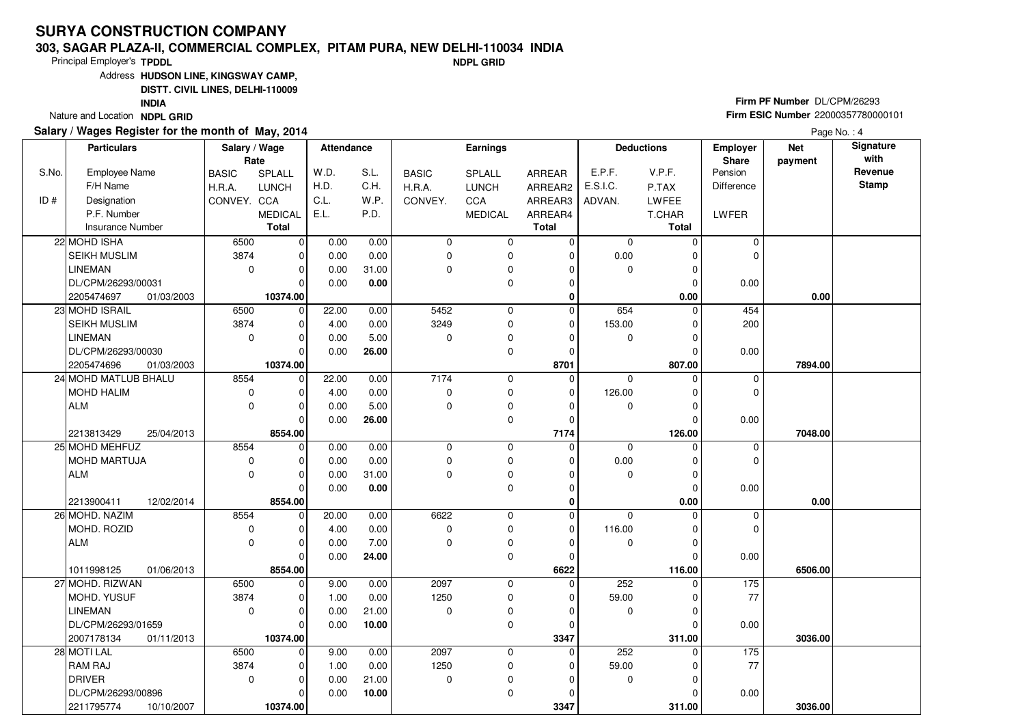### **303, SAGAR PLAZA-II, COMMERCIAL COMPLEX, PITAM PURA, NEW DELHI-110034 INDIANDPL GRID**

Principal Employer's**TPDDL**

Address**HUDSON LINE, KINGSWAY CAMP,**

**DISTT. CIVIL LINES, DELHI-110009**

**INDIA**

Nature and Location **NDPL GRID** 

## **Salary / Wages Register for the month of May, 2014**

**Firm PF Number** DL/CPM/26293 **Firm ESIC Number** <sup>22000357780000101</sup>

|       | <b>Particulars</b>       | Salary / Wage |                                | <b>Attendance</b> |       | <b>Earnings</b> |                | <b>Deductions</b> |             | Employer               | <b>Net</b>              | Signature<br>with |              |
|-------|--------------------------|---------------|--------------------------------|-------------------|-------|-----------------|----------------|-------------------|-------------|------------------------|-------------------------|-------------------|--------------|
| S.No. | Employee Name            | Rate          | SPLALL                         | W.D.              | S.L.  | <b>BASIC</b>    | <b>SPLALL</b>  | <b>ARREAR</b>     | E.P.F.      | V.P.F.                 | <b>Share</b><br>Pension | payment           | Revenue      |
|       | F/H Name                 | <b>BASIC</b>  | <b>LUNCH</b>                   | H.D.              | C.H.  |                 |                |                   | E.S.I.C.    |                        | <b>Difference</b>       |                   | <b>Stamp</b> |
|       |                          | H.R.A.        |                                |                   |       | H.R.A.          | <b>LUNCH</b>   | ARREAR2           |             | P.TAX                  |                         |                   |              |
| ID#   | Designation              | CONVEY. CCA   |                                | C.L.              | W.P.  | CONVEY.         | <b>CCA</b>     | ARREAR3           | ADVAN.      | <b>LWFEE</b>           |                         |                   |              |
|       | P.F. Number              |               | <b>MEDICAL</b><br><b>Total</b> | E.L.              | P.D.  |                 | <b>MEDICAL</b> | ARREAR4           |             | T.CHAR<br><b>Total</b> | LWFER                   |                   |              |
|       | <b>Insurance Number</b>  |               |                                |                   |       |                 |                | <b>Total</b>      |             |                        |                         |                   |              |
|       | 22 MOHD ISHA             | 6500          | 0                              | 0.00              | 0.00  | $\mathbf 0$     | 0              | $\mathbf 0$       | $\mathbf 0$ | $\mathbf 0$            | $\mathbf 0$             |                   |              |
|       | SEIKH MUSLIM             | 3874          | $\Omega$                       | 0.00              | 0.00  | $\Omega$        | 0              | 0                 | 0.00        | C                      | $\mathbf 0$             |                   |              |
|       | LINEMAN                  | $\mathbf 0$   | $\Omega$                       | 0.00              | 31.00 | $\Omega$        | 0              | $\Omega$          | 0           | $\Omega$               |                         |                   |              |
|       | DL/CPM/26293/00031       |               | $\Omega$                       | 0.00              | 0.00  |                 | $\mathbf 0$    | $\Omega$          |             | $\Omega$               | 0.00                    |                   |              |
|       | 2205474697<br>01/03/2003 |               | 10374.00                       |                   |       |                 |                | $\mathbf 0$       |             | 0.00                   |                         | 0.00              |              |
|       | 23 MOHD ISRAIL           | 6500          | $\mathbf 0$                    | 22.00             | 0.00  | 5452            | $\mathbf 0$    | $\Omega$          | 654         | $\Omega$               | 454                     |                   |              |
|       | SEIKH MUSLIM             | 3874          | $\Omega$                       | 4.00              | 0.00  | 3249            | 0              | 0                 | 153.00      | $\Omega$               | 200                     |                   |              |
|       | <b>LINEMAN</b>           | 0             | $\Omega$                       | 0.00              | 5.00  | $\Omega$        | 0              | $\Omega$          | 0           | $\Omega$               |                         |                   |              |
|       | DL/CPM/26293/00030       |               | $\Omega$                       | 0.00              | 26.00 |                 | $\mathbf 0$    | $\Omega$          |             | $\Omega$               | 0.00                    |                   |              |
|       | 2205474696<br>01/03/2003 |               | 10374.00                       |                   |       |                 |                | 8701              |             | 807.00                 |                         | 7894.00           |              |
|       | 24 MOHD MATLUB BHALU     | 8554          | $\Omega$                       | 22.00             | 0.00  | 7174            | $\mathbf 0$    | $\mathbf 0$       | $\Omega$    | $\Omega$               | $\mathbf 0$             |                   |              |
|       | <b>MOHD HALIM</b>        | $\mathbf 0$   |                                | 4.00              | 0.00  | $\mathbf 0$     | 0              | $\Omega$          | 126.00      |                        | $\mathbf 0$             |                   |              |
|       | <b>ALM</b>               | $\mathbf 0$   | 0                              | 0.00              | 5.00  | $\Omega$        | $\pmb{0}$      | $\Omega$          | 0           | $\Omega$               |                         |                   |              |
|       |                          |               | $\Omega$                       | 0.00              | 26.00 |                 | $\mathbf 0$    | $\mathbf 0$       |             | $\mathcal{C}$          | 0.00                    |                   |              |
|       | 2213813429<br>25/04/2013 |               | 8554.00                        |                   |       |                 |                | 7174              |             | 126.00                 |                         | 7048.00           |              |
|       | 25 MOHD MEHFUZ           | 8554          | $\mathbf 0$                    | 0.00              | 0.00  | $\mathbf 0$     | $\mathbf 0$    | $\Omega$          | $\mathbf 0$ | $\Omega$               | 0                       |                   |              |
|       | MOHD MARTUJA             | 0             | $\Omega$                       | 0.00              | 0.00  | $\mathbf 0$     | 0              | $\Omega$          | 0.00        | $\Omega$               | $\mathbf 0$             |                   |              |
|       | <b>ALM</b>               | $\mathbf{0}$  | $\Omega$                       | 0.00              | 31.00 | $\Omega$        | $\mathbf 0$    | $\Omega$          | $\mathbf 0$ | $\Omega$               |                         |                   |              |
|       |                          |               | $\Omega$                       | 0.00              | 0.00  |                 | 0              | $\Omega$          |             | $\Omega$               | 0.00                    |                   |              |
|       | 2213900411<br>12/02/2014 |               | 8554.00                        |                   |       |                 |                | 0                 |             | 0.00                   |                         | 0.00              |              |
|       | 26 MOHD. NAZIM           | 8554          | $\Omega$                       | 20.00             | 0.00  | 6622            | $\mathbf 0$    | $\Omega$          | $\Omega$    |                        | $\mathbf 0$             |                   |              |
|       | MOHD. ROZID              | 0             | $\Omega$                       | 4.00              | 0.00  | $\mathbf 0$     | 0              | $\Omega$          | 116.00      | $\Omega$               | $\mathbf 0$             |                   |              |
|       | <b>ALM</b>               | 0             | $\Omega$                       | 0.00              | 7.00  | $\Omega$        | 0              | $\Omega$          | $\mathbf 0$ | $\Omega$               |                         |                   |              |
|       |                          |               | $\Omega$                       | 0.00              | 24.00 |                 | $\mathbf 0$    | $\Omega$          |             | $\Omega$               | 0.00                    |                   |              |
|       | 1011998125<br>01/06/2013 |               | 8554.00                        |                   |       |                 |                | 6622              |             | 116.00                 |                         | 6506.00           |              |
|       | 27 MOHD. RIZWAN          | 6500          | $\Omega$                       | 9.00              | 0.00  | 2097            | $\mathbf 0$    | $\overline{0}$    | 252         | $\Omega$               | 175                     |                   |              |
|       | MOHD, YUSUF              | 3874          | $\Omega$                       | 1.00              | 0.00  | 1250            | 0              | $\Omega$          | 59.00       | O                      | 77                      |                   |              |
|       | LINEMAN                  | $\mathbf 0$   | 0                              | 0.00              | 21.00 | $\mathbf 0$     | 0              | $\Omega$          | 0           | C                      |                         |                   |              |
|       | DL/CPM/26293/01659       |               | $\Omega$                       | 0.00              | 10.00 |                 | 0              | $\Omega$          |             | $\Omega$               | 0.00                    |                   |              |
|       | 2007178134<br>01/11/2013 |               | 10374.00                       |                   |       |                 |                | 3347              |             | 311.00                 |                         | 3036.00           |              |
|       | 28 MOTI LAL              | 6500          | $\Omega$                       | 9.00              | 0.00  | 2097            | 0              | $\Omega$          | 252         | O                      | $\frac{175}{175}$       |                   |              |
|       | <b>RAM RAJ</b>           | 3874          | $\Omega$                       | 1.00              | 0.00  | 1250            | 0              | $\Omega$          | 59.00       |                        | 77                      |                   |              |
|       | <b>DRIVER</b>            | $\mathbf 0$   | $\Omega$                       | 0.00              | 21.00 | 0               | 0              | O                 | 0           | $\Omega$               |                         |                   |              |
|       | DL/CPM/26293/00896       |               | 0                              | 0.00              | 10.00 |                 | 0              | 0                 |             | $\Omega$               | 0.00                    |                   |              |
|       | 2211795774<br>10/10/2007 |               | 10374.00                       |                   |       |                 |                | 3347              |             | 311.00                 |                         | 3036.00           |              |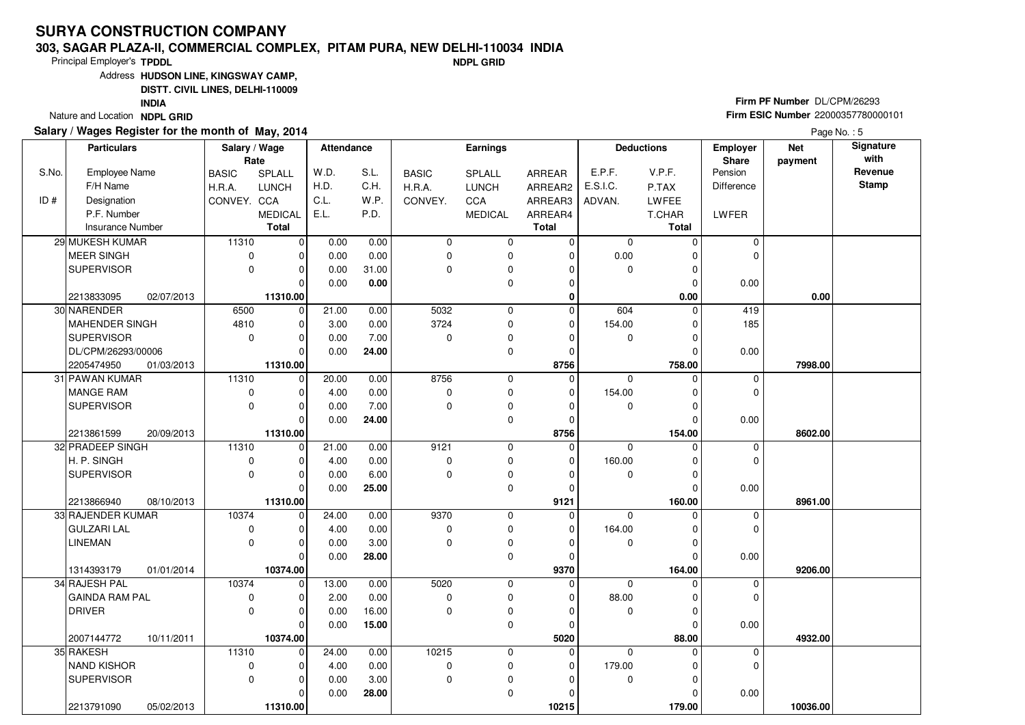### **303, SAGAR PLAZA-II, COMMERCIAL COMPLEX, PITAM PURA, NEW DELHI-110034 INDIANDPL GRID**

Principal Employer's**TPDDL**

Address**HUDSON LINE, KINGSWAY CAMP,**

**DISTT. CIVIL LINES, DELHI-110009**

**INDIA**

Nature and Location **NDPL GRID** 

## **Salary / Wages Register for the month of May, 2014**

**Firm PF Number** DL/CPM/26293 **Firm ESIC Number** <sup>22000357780000101</sup>

|       | <b>Particulars</b>      |            | Salary / Wage<br>Rate |                | <b>Attendance</b> |       | <b>Earnings</b> |                | <b>Deductions</b> |             | Employer<br>Share | <b>Net</b><br>payment | Signature<br>with |              |
|-------|-------------------------|------------|-----------------------|----------------|-------------------|-------|-----------------|----------------|-------------------|-------------|-------------------|-----------------------|-------------------|--------------|
| S.No. | <b>Employee Name</b>    |            | <b>BASIC</b>          | SPLALL         | W.D.              | S.L.  | <b>BASIC</b>    | <b>SPLALL</b>  | <b>ARREAR</b>     | E.P.F.      | V.P.F.            | Pension               |                   | Revenue      |
|       | F/H Name                |            | H.R.A.                | <b>LUNCH</b>   | H.D.              | C.H.  | H.R.A.          | <b>LUNCH</b>   | ARREAR2           | E.S.I.C.    | P.TAX             | <b>Difference</b>     |                   | <b>Stamp</b> |
| ID#   | Designation             |            | CONVEY. CCA           |                | C.L.              | W.P.  | CONVEY.         | CCA            | ARREAR3           | ADVAN.      | LWFEE             |                       |                   |              |
|       | P.F. Number             |            |                       | <b>MEDICAL</b> | E.L.              | P.D.  |                 | <b>MEDICAL</b> | ARREAR4           |             | T.CHAR            | LWFER                 |                   |              |
|       | <b>Insurance Number</b> |            |                       | <b>Total</b>   |                   |       |                 |                | <b>Total</b>      |             | <b>Total</b>      |                       |                   |              |
|       | 29 MUKESH KUMAR         |            | 11310                 | $\overline{0}$ | 0.00              | 0.00  | $\mathbf 0$     | 0              | $\mathbf 0$       | $\mathbf 0$ | $\Omega$          | $\mathbf 0$           |                   |              |
|       | MEER SINGH              |            | $\pmb{0}$             | O              | 0.00              | 0.00  | $\mathbf 0$     | 0              | $\mathbf 0$       | 0.00        |                   | $\mathbf 0$           |                   |              |
|       | SUPERVISOR              |            | $\mathbf 0$           | $\Omega$       | 0.00              | 31.00 | $\Omega$        | $\pmb{0}$      | $\Omega$          | $\mathbf 0$ | $\Omega$          |                       |                   |              |
|       |                         |            |                       | $\Omega$       | 0.00              | 0.00  |                 | $\mathbf 0$    | $\Omega$          |             | $\Omega$          | 0.00                  |                   |              |
|       | 2213833095              | 02/07/2013 |                       | 11310.00       |                   |       |                 |                | 0                 |             | 0.00              |                       | 0.00              |              |
|       | 30 NARENDER             |            | 6500                  | $\mathbf 0$    | 21.00             | 0.00  | 5032            | 0              | $\mathbf 0$       | 604         | $\mathbf 0$       | 419                   |                   |              |
|       | MAHENDER SINGH          |            | 4810                  | $\Omega$       | 3.00              | 0.00  | 3724            | 0              | $\Omega$          | 154.00      | 0                 | 185                   |                   |              |
|       | <b>SUPERVISOR</b>       |            | $\mathbf 0$           | $\Omega$       | 0.00              | 7.00  | $\Omega$        | 0              | $\Omega$          | $\mathbf 0$ | O                 |                       |                   |              |
|       | DL/CPM/26293/00006      |            |                       | $\Omega$       | 0.00              | 24.00 |                 | 0              | $\Omega$          |             | $\Omega$          | 0.00                  |                   |              |
|       | 2205474950              | 01/03/2013 |                       | 11310.00       |                   |       |                 |                | 8756              |             | 758.00            |                       | 7998.00           |              |
|       | 31 PAWAN KUMAR          |            | 11310                 | $\Omega$       | 20.00             | 0.00  | 8756            | $\pmb{0}$      | $\mathbf 0$       | $\Omega$    | $\Omega$          | 0                     |                   |              |
|       | MANGE RAM               |            | $\pmb{0}$             |                | 4.00              | 0.00  | 0               | $\pmb{0}$      | $\Omega$          | 154.00      |                   | $\mathbf 0$           |                   |              |
|       | SUPERVISOR              |            | $\mathbf 0$           | $\Omega$       | 0.00              | 7.00  | $\Omega$        | 0              | $\Omega$          | $\mathbf 0$ | $\Omega$          |                       |                   |              |
|       |                         |            |                       | $\Omega$       | 0.00              | 24.00 |                 | 0              | $\Omega$          |             | $\Omega$          | 0.00                  |                   |              |
|       | 2213861599              | 20/09/2013 |                       | 11310.00       |                   |       |                 |                | 8756              |             | 154.00            |                       | 8602.00           |              |
|       | 32 PRADEEP SINGH        |            | 11310                 | $\overline{0}$ | 21.00             | 0.00  | 9121            | $\mathbf 0$    | $\Omega$          | $\Omega$    | $\Omega$          | $\mathbf 0$           |                   |              |
|       | H. P. SINGH             |            | 0                     | $\Omega$       | 4.00              | 0.00  | 0               | $\pmb{0}$      | $\Omega$          | 160.00      | ∩                 | $\mathbf 0$           |                   |              |
|       | SUPERVISOR              |            | $\mathbf 0$           | $\Omega$       | 0.00              | 6.00  | $\Omega$        | $\pmb{0}$      | $\Omega$          | 0           |                   |                       |                   |              |
|       |                         |            |                       | $\Omega$       | 0.00              | 25.00 |                 | $\mathbf 0$    | $\Omega$          |             | O                 | 0.00                  |                   |              |
|       | 2213866940              | 08/10/2013 |                       | 11310.00       |                   |       |                 |                | 9121              |             | 160.00            |                       | 8961.00           |              |
|       | 33 RAJENDER KUMAR       |            | 10374                 | $\Omega$       | 24.00             | 0.00  | 9370            | 0              | $\Omega$          | $\Omega$    |                   | 0                     |                   |              |
|       | <b>GULZARI LAL</b>      |            | 0                     |                | 4.00              | 0.00  | 0               | 0              | $\Omega$          | 164.00      |                   | $\mathbf 0$           |                   |              |
|       | <b>LINEMAN</b>          |            | $\mathbf 0$           | $\Omega$       | 0.00              | 3.00  | $\Omega$        | 0              | $\Omega$          | $\mathbf 0$ | $\Omega$          |                       |                   |              |
|       |                         |            |                       | $\Omega$       | 0.00              | 28.00 |                 | 0              | $\Omega$          |             | $\Omega$          | 0.00                  |                   |              |
|       | 1314393179              | 01/01/2014 |                       | 10374.00       |                   |       |                 |                | 9370              |             | 164.00            |                       | 9206.00           |              |
|       | 34 RAJESH PAL           |            | 10374                 | $\Omega$       | 13.00             | 0.00  | 5020            | 0              | 0                 | $\mathbf 0$ |                   | 0                     |                   |              |
|       | <b>GAINDA RAM PAL</b>   |            | $\pmb{0}$             | $\Omega$       | 2.00              | 0.00  | $\mathbf 0$     | 0              | $\Omega$          | 88.00       | $\Omega$          | $\mathbf 0$           |                   |              |
|       | DRIVER                  |            | $\mathbf 0$           | $\Omega$       | 0.00              | 16.00 | $\mathbf 0$     | 0              | $\Omega$          | 0           | $\Omega$          |                       |                   |              |
|       |                         |            |                       | $\Omega$       | 0.00              | 15.00 |                 | 0              | $\Omega$          |             | $\Omega$          | 0.00                  |                   |              |
|       | 2007144772              | 10/11/2011 |                       | 10374.00       |                   |       |                 |                | 5020              |             | 88.00             |                       | 4932.00           |              |
|       | 35 RAKESH               |            | 11310                 | $\Omega$       | 24.00             | 0.00  | 10215           | 0              | 0                 | $\Omega$    |                   | $\mathbf 0$           |                   |              |
|       | NAND KISHOR             |            | $\pmb{0}$             |                | 4.00              | 0.00  | $\mathbf 0$     | 0              | $\Omega$          | 179.00      |                   | $\mathbf 0$           |                   |              |
|       | <b>SUPERVISOR</b>       |            | $\mathbf 0$           | $\Omega$       | 0.00              | 3.00  | $\mathbf 0$     | 0              | $\Omega$          | $\mathbf 0$ | $\Omega$          |                       |                   |              |
|       |                         |            |                       | $\Omega$       | 0.00              | 28.00 |                 | 0              | $\Omega$          |             | $\Omega$          | 0.00                  |                   |              |
|       | 2213791090              | 05/02/2013 |                       | 11310.00       |                   |       |                 |                | 10215             |             | 179.00            |                       | 10036.00          |              |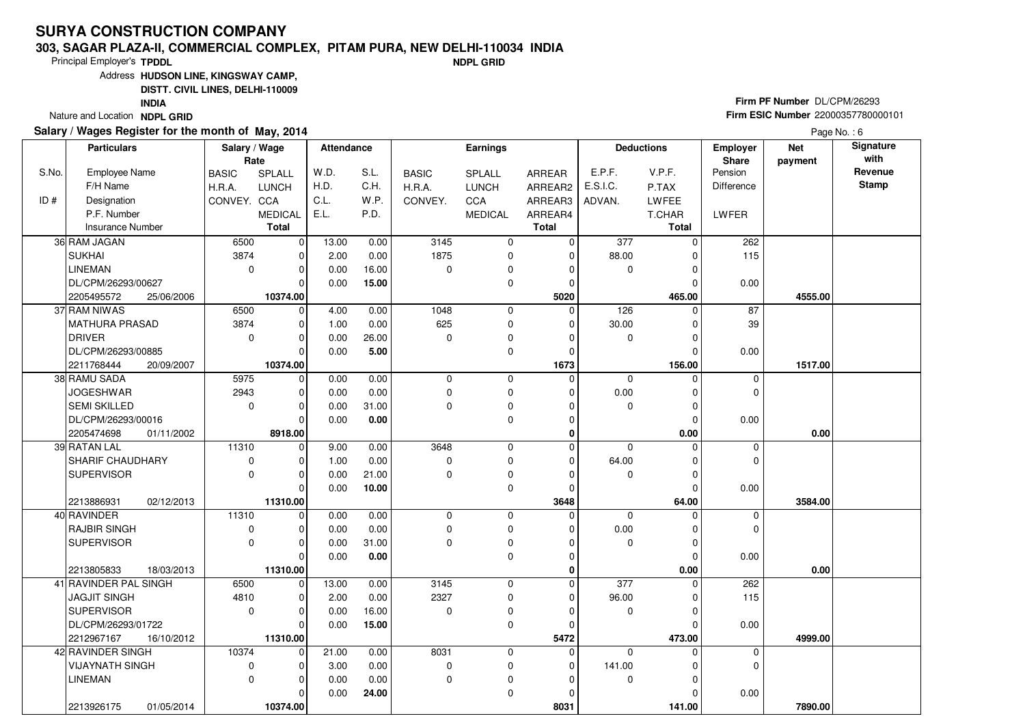### **303, SAGAR PLAZA-II, COMMERCIAL COMPLEX, PITAM PURA, NEW DELHI-110034 INDIANDPL GRID**

Principal Employer's**TPDDL**

Address**HUDSON LINE, KINGSWAY CAMP,**

**DISTT. CIVIL LINES, DELHI-110009**

**INDIA**

Nature and Location **NDPL GRID** 

## **Salary / Wages Register for the month of May, 2014**

**Firm PF Number** DL/CPM/26293 **Firm ESIC Number** <sup>22000357780000101</sup>

|       | <b>Particulars</b>                            | Salary / Wage<br>Rate |                | <b>Attendance</b> |               |                  | <b>Earnings</b> |                      |             | <b>Deductions</b>    | Employer<br>Share | <b>Net</b><br>payment | Signature<br>with |
|-------|-----------------------------------------------|-----------------------|----------------|-------------------|---------------|------------------|-----------------|----------------------|-------------|----------------------|-------------------|-----------------------|-------------------|
| S.No. | <b>Employee Name</b>                          | <b>BASIC</b>          | SPLALL         | W.D.              | S.L.          | <b>BASIC</b>     | SPLALL          | ARREAR               | E.P.F.      | V.P.F.               | Pension           |                       | Revenue           |
|       | F/H Name                                      | H.R.A.                | <b>LUNCH</b>   | H.D.              | C.H.          | H.R.A.           | <b>LUNCH</b>    | ARREAR2              | E.S.I.C.    | P.TAX                | <b>Difference</b> |                       | <b>Stamp</b>      |
| ID#   | Designation                                   | CONVEY. CCA           |                | C.L.              | W.P.          | CONVEY.          | <b>CCA</b>      | ARREAR3              | ADVAN.      | LWFEE                |                   |                       |                   |
|       | P.F. Number                                   |                       | <b>MEDICAL</b> | E.L.              | P.D.          |                  | <b>MEDICAL</b>  | ARREAR4              |             | T.CHAR               | LWFER             |                       |                   |
|       | <b>Insurance Number</b>                       |                       | <b>Total</b>   |                   |               |                  |                 | <b>Total</b>         |             | <b>Total</b>         |                   |                       |                   |
|       | 36 RAM JAGAN                                  | 6500                  | 0              | 13.00             | 0.00          | 3145             | $\mathbf 0$     | $\overline{0}$       | 377         | $\Omega$             | 262               |                       |                   |
|       | <b>SUKHAI</b>                                 | 3874                  | $\Omega$       | 2.00              | 0.00          | 1875             | 0               | $\Omega$             | 88.00       | 0                    | 115               |                       |                   |
|       | <b>LINEMAN</b>                                | $\mathbf 0$           | $\Omega$       | 0.00              | 16.00         | $\Omega$         | 0               | $\Omega$             | $\mathbf 0$ | $\Omega$             |                   |                       |                   |
|       | DL/CPM/26293/00627                            |                       | $\Omega$       | 0.00              | 15.00         |                  | 0               | $\mathbf 0$          |             | $\Omega$             | 0.00              |                       |                   |
|       | 2205495572<br>25/06/2006                      |                       | 10374.00       |                   |               |                  |                 | 5020                 |             | 465.00               |                   | 4555.00               |                   |
|       | 37 RAM NIWAS                                  | 6500                  | $\mathbf 0$    | 4.00              | 0.00          | 1048             | $\mathbf 0$     | 0                    | 126         | $\Omega$             | 87                |                       |                   |
|       | <b>MATHURA PRASAD</b>                         | 3874                  | $\Omega$       | 1.00              | 0.00          | 625              | 0               | $\Omega$             | 30.00       | $\Omega$             | 39                |                       |                   |
|       | <b>DRIVER</b>                                 | $\mathbf 0$           | $\Omega$       | 0.00              | 26.00         | $\Omega$         | 0               | $\Omega$             | 0           | $\Omega$             |                   |                       |                   |
|       | DL/CPM/26293/00885                            |                       | $\Omega$       | 0.00              | 5.00          |                  | 0               | $\Omega$             |             | $\Omega$             | 0.00              |                       |                   |
|       | 2211768444<br>20/09/2007                      |                       | 10374.00       |                   |               |                  |                 | 1673                 |             | 156.00               |                   | 1517.00               |                   |
|       | 38 RAMU SADA                                  | 5975                  | $\mathbf 0$    | 0.00              | 0.00          | $\mathbf 0$      | 0               | 0                    | $\mathbf 0$ | $\Omega$             | $\mathbf 0$       |                       |                   |
|       | <b>JOGESHWAR</b>                              | 2943                  | O              | 0.00              | 0.00          | $\mathbf 0$      | 0               | $\Omega$             | 0.00        | $\Omega$             | 0                 |                       |                   |
|       | <b>SEMI SKILLED</b>                           | $\mathbf 0$           | $\Omega$       | 0.00              | 31.00         | $\mathbf 0$      | 0               | $\mathbf 0$          | $\mathbf 0$ | 0                    |                   |                       |                   |
|       | DL/CPM/26293/00016                            |                       | $\Omega$       | 0.00              | 0.00          |                  | 0               | $\mathbf 0$          |             | $\Omega$             | 0.00              |                       |                   |
|       | 2205474698<br>01/11/2002                      |                       | 8918.00        |                   |               |                  |                 | $\bf{0}$             |             | $0.00\,$             |                   | 0.00                  |                   |
|       | 39 RATAN LAL                                  | 11310                 | $\mathbf 0$    | 9.00              | 0.00          | 3648             | 0               | $\Omega$             | $\mathbf 0$ | $\Omega$             | 0                 |                       |                   |
|       | SHARIF CHAUDHARY                              | $\mathbf 0$           | $\Omega$       | 1.00              | 0.00          | $\Omega$         | 0               | $\Omega$             | 64.00       | $\Omega$             | 0                 |                       |                   |
|       | <b>SUPERVISOR</b>                             | $\mathbf 0$           | $\Omega$       | 0.00              | 21.00         | $\mathbf 0$      | 0               | 0                    | 0           | 0                    |                   |                       |                   |
|       |                                               |                       | $\Omega$       | 0.00              | 10.00         |                  | 0               | $\Omega$             |             | $\Omega$             | 0.00              |                       |                   |
|       | 2213886931<br>02/12/2013                      |                       | 11310.00       |                   |               |                  |                 | 3648                 |             | 64.00                |                   | 3584.00               |                   |
|       | 40 RAVINDER                                   | 11310                 | $\Omega$       | 0.00              | 0.00          | $\mathbf 0$      | 0               | 0                    | $\mathbf 0$ | $\Omega$             | 0                 |                       |                   |
|       | <b>RAJBIR SINGH</b>                           | $\mathbf 0$           | $\Omega$       | 0.00              | 0.00          | $\mathbf 0$      | 0               | $\Omega$             | 0.00        | $\Omega$             | 0                 |                       |                   |
|       | <b>SUPERVISOR</b>                             | $\Omega$              | $\Omega$       | 0.00              | 31.00         | $\Omega$         | $\pmb{0}$       | $\Omega$             | $\Omega$    | $\Omega$             |                   |                       |                   |
|       |                                               |                       | $\Omega$       | 0.00              | 0.00          |                  | 0               | $\mathbf 0$          |             | $\mathbf 0$          | 0.00              |                       |                   |
|       | 2213805833<br>18/03/2013                      |                       | 11310.00       |                   |               |                  |                 | 0                    |             | 0.00                 |                   | 0.00                  |                   |
|       | 41 RAVINDER PAL SINGH                         | 6500                  | $\mathbf 0$    | 13.00             | 0.00          | 3145             | 0               | $\Omega$             | 377         | 0                    | 262               |                       |                   |
|       | <b>JAGJIT SINGH</b><br><b>SUPERVISOR</b>      | 4810<br>$\mathbf 0$   | $\Omega$<br>O  | 2.00<br>0.00      | 0.00<br>16.00 | 2327<br>$\Omega$ | 0               | $\Omega$<br>$\Omega$ | 96.00       | $\Omega$<br>$\Omega$ | 115               |                       |                   |
|       | DL/CPM/26293/01722                            |                       | $\Omega$       | 0.00              |               |                  | 0               | $\Omega$             | 0           | $\Omega$             |                   |                       |                   |
|       |                                               |                       | 11310.00       |                   | 15.00         |                  | $\pmb{0}$       |                      |             |                      | 0.00              | 4999.00               |                   |
|       | 2212967167<br>16/10/2012<br>42 RAVINDER SINGH | 10374                 | $\Omega$       | 21.00             | 0.00          | 8031             | 0               | 5472<br>0            | $\Omega$    | 473.00<br>0          |                   |                       |                   |
|       | <b>VIJAYNATH SINGH</b>                        | $\mathbf 0$           | $\Omega$       | 3.00              | 0.00          | $\mathbf 0$      | 0               | 0                    | 141.00      | $\Omega$             | 0<br>0            |                       |                   |
|       | <b>LINEMAN</b>                                | $\Omega$              | $\Omega$       | 0.00              | 0.00          | $\mathbf 0$      | 0               | $\Omega$             | 0           | 0                    |                   |                       |                   |
|       |                                               |                       | $\Omega$       | 0.00              |               |                  | 0               | 0                    |             |                      |                   |                       |                   |
|       |                                               |                       |                |                   | 24.00         |                  |                 |                      |             | 0                    | 0.00              | 7890.00               |                   |
|       | 2213926175<br>01/05/2014                      |                       | 10374.00       |                   |               |                  |                 | 8031                 |             | 141.00               |                   |                       |                   |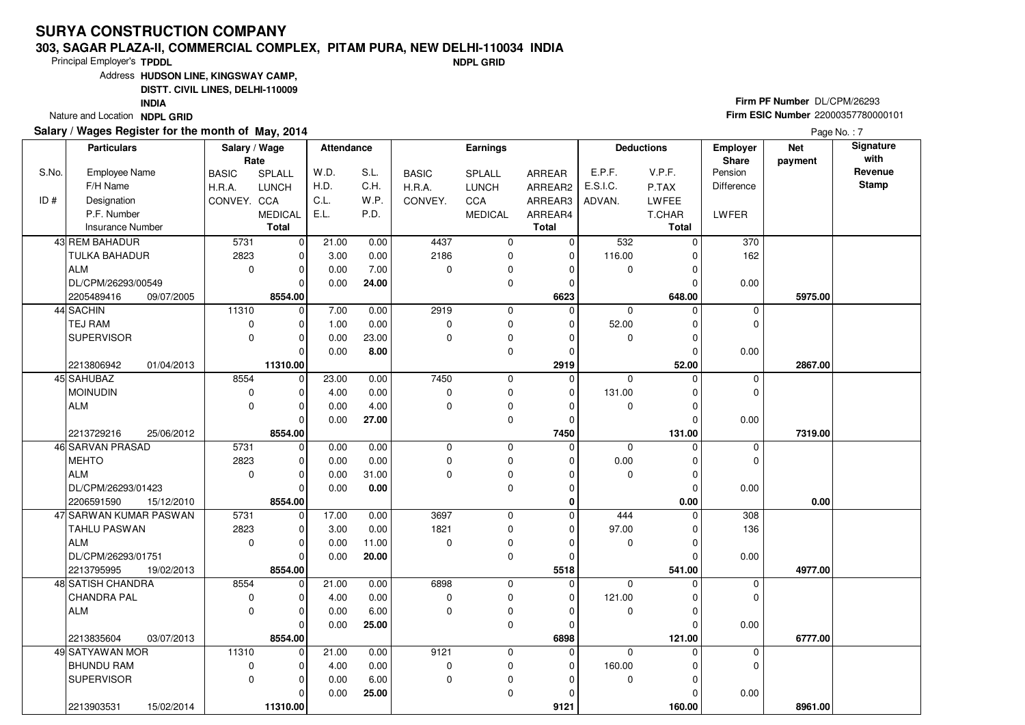### **303, SAGAR PLAZA-II, COMMERCIAL COMPLEX, PITAM PURA, NEW DELHI-110034 INDIANDPL GRID**

Principal Employer's**TPDDL**

Address**HUDSON LINE, KINGSWAY CAMP,**

**DISTT. CIVIL LINES, DELHI-110009**

**INDIA**

Nature and Location **NDPL GRID** 

## **Salary / Wages Register for the month of May, 2014**

## **Firm PF Number** DL/CPM/26293 **Firm ESIC Number** <sup>22000357780000101</sup>

|       | <b>Particulars</b>       | Salary / Wage<br>Rate |                | <b>Attendance</b> |       |              | Earnings       |              |             | <b>Deductions</b> | <b>Employer</b><br>Share | <b>Net</b><br>payment | Signature<br>with |
|-------|--------------------------|-----------------------|----------------|-------------------|-------|--------------|----------------|--------------|-------------|-------------------|--------------------------|-----------------------|-------------------|
| S.No. | <b>Employee Name</b>     | <b>BASIC</b>          | SPLALL         | W.D.              | S.L.  | <b>BASIC</b> | SPLALL         | ARREAR       | E.P.F.      | V.P.F.            | Pension                  |                       | Revenue           |
|       | F/H Name                 | H.R.A.                | <b>LUNCH</b>   | H.D.              | C.H.  | H.R.A.       | <b>LUNCH</b>   | ARREAR2      | E.S.I.C.    | P.TAX             | <b>Difference</b>        |                       | Stamp             |
| ID#   | Designation              | CONVEY. CCA           |                | C.L.              | W.P.  | CONVEY.      | CCA            | ARREAR3      | ADVAN.      | LWFEE             |                          |                       |                   |
|       | P.F. Number              |                       | <b>MEDICAL</b> | E.L.              | P.D.  |              | <b>MEDICAL</b> | ARREAR4      |             | T.CHAR            | LWFER                    |                       |                   |
|       | Insurance Number         |                       | <b>Total</b>   |                   |       |              |                | <b>Total</b> |             | <b>Total</b>      |                          |                       |                   |
|       | 43 REM BAHADUR           | 5731                  | 0              | 21.00             | 0.00  | 4437         | $\mathbf 0$    | 0            | 532         | $\Omega$          | 370                      |                       |                   |
|       | TULKA BAHADUR            | 2823                  | $\overline{0}$ | 3.00              | 0.00  | 2186         | 0              | $\mathbf 0$  | 116.00      | 0                 | 162                      |                       |                   |
|       | <b>ALM</b>               | $\mathbf 0$           | $\overline{0}$ | 0.00              | 7.00  | $\mathbf 0$  | 0              | 0            | 0           | 0                 |                          |                       |                   |
|       | DL/CPM/26293/00549       |                       | 0              | 0.00              | 24.00 |              | 0              | 0            |             | 0                 | 0.00                     |                       |                   |
|       | 2205489416<br>09/07/2005 |                       | 8554.00        |                   |       |              |                | 6623         |             | 648.00            |                          | 5975.00               |                   |
|       | 44 SACHIN                | 11310                 | $\overline{0}$ | 7.00              | 0.00  | 2919         | 0              | $\mathbf 0$  | $\mathbf 0$ | $\Omega$          | $\mathbf 0$              |                       |                   |
|       | TEJ RAM                  | $\mathbf 0$           | 0              | 1.00              | 0.00  | 0            | $\pmb{0}$      | 0            | 52.00       | 0                 | $\mathbf 0$              |                       |                   |
|       | <b>SUPERVISOR</b>        | $\mathbf 0$           | 0              | 0.00              | 23.00 | $\mathbf 0$  | $\mathbf 0$    | 0            | 0           | $\mathbf 0$       |                          |                       |                   |
|       |                          |                       | 0              | 0.00              | 8.00  |              | 0              | 0            |             | 0                 | 0.00                     |                       |                   |
|       | 2213806942<br>01/04/2013 |                       | 11310.00       |                   |       |              |                | 2919         |             | 52.00             |                          | 2867.00               |                   |
|       | 45 SAHUBAZ               | 8554                  | $\mathbf 0$    | 23.00             | 0.00  | 7450         | 0              | 0            | $\mathbf 0$ | 0                 | 0                        |                       |                   |
|       | <b>MOINUDIN</b>          | $\mathsf 0$           | 0              | 4.00              | 0.00  | 0            | 0              | 0            | 131.00      | 0                 | $\mathbf 0$              |                       |                   |
|       | <b>ALM</b>               | $\mathbf 0$           | 0              | 0.00              | 4.00  | $\mathbf 0$  | 0              | 0            | 0           | 0                 |                          |                       |                   |
|       |                          |                       | 0              | 0.00              | 27.00 |              | 0              | 0            |             | $\Omega$          | 0.00                     |                       |                   |
|       | 2213729216<br>25/06/2012 |                       | 8554.00        |                   |       |              |                | 7450         |             | 131.00            |                          | 7319.00               |                   |
|       | 46 SARVAN PRASAD         | 5731                  | 0              | 0.00              | 0.00  | 0            | 0              | $\mathbf 0$  | $\mathbf 0$ | $\mathbf 0$       | 0                        |                       |                   |
|       | <b>MEHTO</b>             | 2823                  | 0              | 0.00              | 0.00  | $\mathbf 0$  | 0              | 0            | 0.00        | $\mathbf 0$       | $\mathbf 0$              |                       |                   |
|       | <b>ALM</b>               | $\mathbf 0$           | 0              | 0.00              | 31.00 | $\mathbf 0$  | $\mathbf 0$    | 0            | $\mathbf 0$ | $\mathbf 0$       |                          |                       |                   |
|       | DL/CPM/26293/01423       |                       | 0              | 0.00              | 0.00  |              | $\mathbf 0$    | 0            |             | $\Omega$          | 0.00                     |                       |                   |
|       | 2206591590<br>15/12/2010 |                       | 8554.00        |                   |       |              |                | 0            |             | 0.00              |                          | 0.00                  |                   |
|       | 47 SARWAN KUMAR PASWAN   | 5731                  | $\mathbf 0$    | 17.00             | 0.00  | 3697         | $\mathbf 0$    | 0            | 444         | $\Omega$          | 308                      |                       |                   |
|       | TAHLU PASWAN             | 2823                  | $\mathbf 0$    | 3.00              | 0.00  | 1821         | 0              | 0            | 97.00       | 0                 | 136                      |                       |                   |
|       | <b>ALM</b>               | $\mathbf 0$           | 0              | 0.00              | 11.00 | $\mathbf 0$  | $\pmb{0}$      | 0            | 0           | $\mathbf 0$       |                          |                       |                   |
|       | DL/CPM/26293/01751       |                       | 0              | 0.00              | 20.00 |              | $\mathbf 0$    | 0            |             | $\Omega$          | 0.00                     |                       |                   |
|       | 2213795995<br>19/02/2013 |                       | 8554.00        |                   |       |              |                | 5518         |             | 541.00            |                          | 4977.00               |                   |
|       | 48 SATISH CHANDRA        | 8554                  | $\mathbf 0$    | 21.00             | 0.00  | 6898         | $\mathbf 0$    | $\mathbf 0$  | $\mathbf 0$ | $\Omega$          | 0                        |                       |                   |
|       | <b>CHANDRA PAL</b>       | $\mathbf 0$           | 0              | 4.00              | 0.00  | $\mathbf 0$  | 0              | $\mathbf 0$  | 121.00      | $\mathbf 0$       | $\mathbf 0$              |                       |                   |
|       | <b>ALM</b>               | $\Omega$              | 0              | 0.00              | 6.00  | $\mathbf{0}$ | 0              | 0            | $\mathbf 0$ | $\Omega$          |                          |                       |                   |
|       |                          |                       | $\mathbf 0$    | 0.00              | 25.00 |              | 0              | $\mathbf 0$  |             | $\Omega$          | 0.00                     |                       |                   |
|       | 2213835604<br>03/07/2013 |                       | 8554.00        |                   |       |              |                | 6898         |             | 121.00            |                          | 6777.00               |                   |
|       | 49 SATYAWAN MOR          | 11310                 | $\mathbf 0$    | 21.00             | 0.00  | 9121         | 0              | 0            | $\mathbf 0$ | 0                 | 0                        |                       |                   |
|       | <b>BHUNDU RAM</b>        | $\mathbf 0$           | 0              | 4.00              | 0.00  | $\pmb{0}$    | $\mathbf 0$    | 0            | 160.00      | $\Omega$          | $\mathbf 0$              |                       |                   |
|       | <b>SUPERVISOR</b>        | $\mathbf 0$           | 0              | 0.00              | 6.00  | $\mathbf 0$  | 0              | 0            | 0           | $\mathbf 0$       |                          |                       |                   |
|       |                          |                       | 0              | 0.00              | 25.00 |              | 0              | 0            |             | 0                 | 0.00                     |                       |                   |
|       | 2213903531<br>15/02/2014 |                       | 11310.00       |                   |       |              |                | 9121         |             | 160.00            |                          | 8961.00               |                   |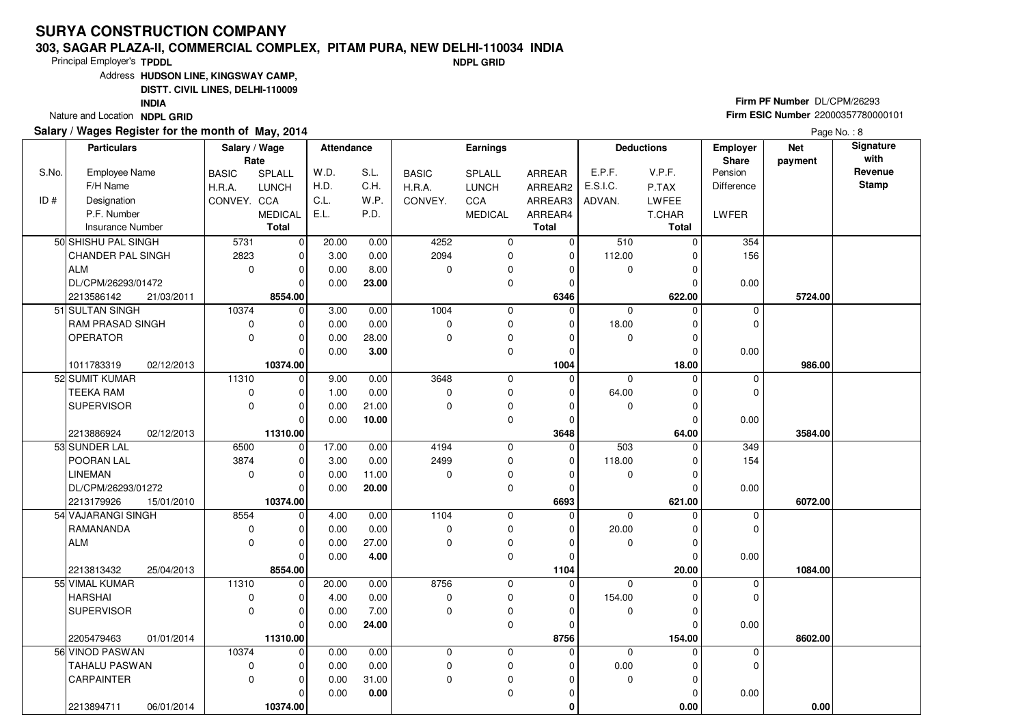### **303, SAGAR PLAZA-II, COMMERCIAL COMPLEX, PITAM PURA, NEW DELHI-110034 INDIANDPL GRID**

Principal Employer's**TPDDL**

Address**HUDSON LINE, KINGSWAY CAMP,**

**DISTT. CIVIL LINES, DELHI-110009**

**INDIA**

Nature and Location **NDPL GRID** 

## **Salary / Wages Register for the month of May, 2014**

**Firm PF Number** DL/CPM/26293 **Firm ESIC Number** <sup>22000357780000101</sup>

|       | Salary / Wage<br><b>Particulars</b><br><b>Earnings</b><br><b>Attendance</b><br>Rate |            | <b>Deductions</b> |                | Employer<br><b>Share</b> | <b>Net</b> | Signature<br>with |                |                |             |               |                   |         |              |
|-------|-------------------------------------------------------------------------------------|------------|-------------------|----------------|--------------------------|------------|-------------------|----------------|----------------|-------------|---------------|-------------------|---------|--------------|
| S.No. | <b>Employee Name</b>                                                                |            | <b>BASIC</b>      | SPLALL         | W.D.                     | S.L.       | <b>BASIC</b>      | <b>SPLALL</b>  | <b>ARREAR</b>  | E.P.F.      | V.P.F.        | Pension           | payment | Revenue      |
|       | F/H Name                                                                            |            | H.R.A.            | <b>LUNCH</b>   | H.D.                     | C.H.       | H.R.A.            | <b>LUNCH</b>   | ARREAR2        | E.S.I.C.    | P.TAX         | <b>Difference</b> |         | <b>Stamp</b> |
| ID#   | Designation                                                                         |            | CONVEY. CCA       |                | C.L.                     | W.P.       | CONVEY.           | <b>CCA</b>     | ARREAR3        | ADVAN.      | <b>LWFEE</b>  |                   |         |              |
|       | P.F. Number                                                                         |            |                   | <b>MEDICAL</b> | E.L.                     | P.D.       |                   | <b>MEDICAL</b> | ARREAR4        |             | T.CHAR        | LWFER             |         |              |
|       | <b>Insurance Number</b>                                                             |            |                   | <b>Total</b>   |                          |            |                   |                | <b>Total</b>   |             | Total         |                   |         |              |
|       | 50 SHISHU PAL SINGH                                                                 |            | 5731              | 0              | 20.00                    | 0.00       | 4252              | 0              | $\mathbf 0$    | 510         | $\mathbf 0$   | 354               |         |              |
|       | <b>CHANDER PAL SINGH</b>                                                            |            | 2823              | $\Omega$       | 3.00                     | 0.00       | 2094              | 0              | $\mathbf 0$    | 112.00      |               | 156               |         |              |
|       | <b>ALM</b>                                                                          |            | $\mathbf 0$       | $\Omega$       | 0.00                     | 8.00       | $\Omega$          | 0              | $\Omega$       | $\mathbf 0$ | $\Omega$      |                   |         |              |
|       | DL/CPM/26293/01472                                                                  |            |                   | $\Omega$       | 0.00                     | 23.00      |                   | 0              | $\Omega$       |             | $\mathcal{C}$ | 0.00              |         |              |
|       | 2213586142                                                                          | 21/03/2011 |                   | 8554.00        |                          |            |                   |                | 6346           |             | 622.00        |                   | 5724.00 |              |
|       | 51 SULTAN SINGH                                                                     |            | 10374             | $\mathbf 0$    | 3.00                     | 0.00       | 1004              | $\mathbf 0$    | $\Omega$       | $\mathbf 0$ | $\Omega$      | 0                 |         |              |
|       | <b>RAM PRASAD SINGH</b>                                                             |            | 0                 | $\Omega$       | 0.00                     | 0.00       | $\mathbf 0$       | 0              | $\Omega$       | 18.00       | 0             | $\mathbf 0$       |         |              |
|       | <b>OPERATOR</b>                                                                     |            | 0                 | $\Omega$       | 0.00                     | 28.00      | $\Omega$          | 0              | $\Omega$       | $\mathbf 0$ | $\Omega$      |                   |         |              |
|       |                                                                                     |            |                   | $\Omega$       | 0.00                     | 3.00       |                   | $\mathbf 0$    | $\Omega$       |             | $\Omega$      | 0.00              |         |              |
|       | 1011783319                                                                          | 02/12/2013 |                   | 10374.00       |                          |            |                   |                | 1004           |             | 18.00         |                   | 986.00  |              |
|       | 52 SUMIT KUMAR                                                                      |            | 11310             | $\Omega$       | 9.00                     | 0.00       | 3648              | $\mathbf 0$    | $\mathbf 0$    | $\Omega$    | $\Omega$      | $\mathbf 0$       |         |              |
|       | <b>TEEKA RAM</b>                                                                    |            | 0                 | O              | 1.00                     | 0.00       | $\Omega$          | 0              | O              | 64.00       |               | $\mathbf 0$       |         |              |
|       | <b>SUPERVISOR</b>                                                                   |            | 0                 | 0              | 0.00                     | 21.00      | $\Omega$          | $\pmb{0}$      | $\Omega$       | $\mathbf 0$ | $\Omega$      |                   |         |              |
|       |                                                                                     |            |                   | $\Omega$       | 0.00                     | 10.00      |                   | 0              | $\Omega$       |             | $\Omega$      | 0.00              |         |              |
|       | 2213886924                                                                          | 02/12/2013 |                   | 11310.00       |                          |            |                   |                | 3648           |             | 64.00         |                   | 3584.00 |              |
|       | 53 SUNDER LAL                                                                       |            | 6500              | $\mathbf 0$    | 17.00                    | 0.00       | 4194              | 0              | $\Omega$       | 503         | $\Omega$      | 349               |         |              |
|       | POORAN LAL                                                                          |            | 3874              | $\Omega$       | 3.00                     | 0.00       | 2499              | 0              | $\Omega$       | 118.00      | $\Omega$      | 154               |         |              |
|       | <b>LINEMAN</b>                                                                      |            | 0                 | $\Omega$       | 0.00                     | 11.00      | $\Omega$          | $\mathbf 0$    | $\Omega$       | $\mathbf 0$ |               |                   |         |              |
|       | DL/CPM/26293/01272                                                                  |            |                   | $\Omega$       | 0.00                     | 20.00      |                   | 0              | $\Omega$       |             | $\mathcal{C}$ | 0.00              |         |              |
|       | 2213179926                                                                          | 15/01/2010 |                   | 10374.00       |                          |            |                   |                | 6693           |             | 621.00        |                   | 6072.00 |              |
|       | 54 VAJARANGI SINGH                                                                  |            | 8554              | $\Omega$       | 4.00                     | 0.00       | 1104              | $\mathbf 0$    | $\Omega$       | $\Omega$    |               | $\mathbf 0$       |         |              |
|       | RAMANANDA                                                                           |            | 0                 | $\Omega$       | 0.00                     | 0.00       | $\mathbf 0$       | 0              | $\Omega$       | 20.00       |               | $\mathbf 0$       |         |              |
|       | ALM                                                                                 |            | $\Omega$          | $\Omega$       | 0.00                     | 27.00      | $\Omega$          | 0              | $\Omega$       | $\mathbf 0$ | $\Omega$      |                   |         |              |
|       |                                                                                     |            |                   | $\Omega$       | 0.00                     | 4.00       |                   | $\mathbf 0$    | $\Omega$       |             | $\Omega$      | 0.00              |         |              |
|       | 2213813432                                                                          | 25/04/2013 |                   | 8554.00        |                          |            |                   |                | 1104           |             | 20.00         |                   | 1084.00 |              |
|       | 55 VIMAL KUMAR                                                                      |            | 11310             | $\Omega$       | 20.00                    | 0.00       | 8756              | $\mathbf 0$    | $\overline{0}$ | $\Omega$    |               | $\mathbf 0$       |         |              |
|       | HARSHAI                                                                             |            | 0                 | $\Omega$       | 4.00                     | 0.00       | $\mathbf 0$       | 0              | $\Omega$       | 154.00      |               | $\mathbf 0$       |         |              |
|       | <b>SUPERVISOR</b>                                                                   |            | 0                 | $\Omega$       | 0.00                     | 7.00       | $\mathbf 0$       | 0              | $\Omega$       | 0           | $\mathcal{C}$ |                   |         |              |
|       |                                                                                     |            |                   | $\Omega$       | 0.00                     | 24.00      |                   | 0              | $\Omega$       |             | $\Omega$      | 0.00              |         |              |
|       | 2205479463                                                                          | 01/01/2014 |                   | 11310.00       |                          |            |                   |                | 8756           |             | 154.00        |                   | 8602.00 |              |
|       | 56 VINOD PASWAN                                                                     |            | 10374             | $\Omega$       | 0.00                     | 0.00       | $\mathbf 0$       | 0              | $\Omega$       | $\mathbf 0$ | $\Omega$      | $\mathbf 0$       |         |              |
|       | TAHALU PASWAN                                                                       |            | 0                 | $\Omega$       | 0.00                     | 0.00       | $\mathbf 0$       | $\pmb{0}$      | $\Omega$       | 0.00        |               | $\mathbf 0$       |         |              |
|       | CARPAINTER                                                                          |            | $\Omega$          | $\Omega$       | 0.00                     | 31.00      | $\Omega$          | 0              | O              | 0           | $\Omega$      |                   |         |              |
|       |                                                                                     |            |                   | 0              | 0.00                     | 0.00       |                   | 0              | 0              |             | $\mathbf 0$   | 0.00              |         |              |
|       | 2213894711                                                                          | 06/01/2014 |                   | 10374.00       |                          |            |                   |                | $\bf{0}$       |             | 0.00          |                   | 0.00    |              |